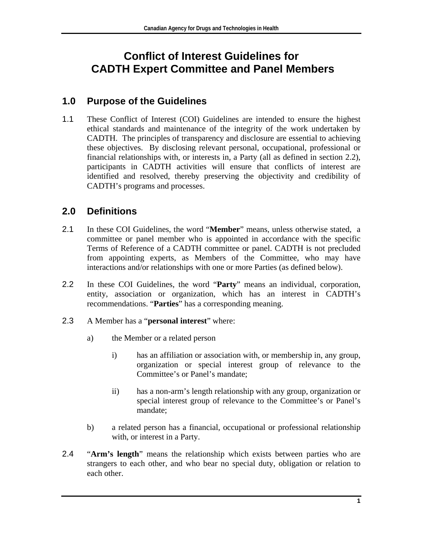# **Conflict of Interest Guidelines for CADTH Expert Committee and Panel Members**

#### **1.0 Purpose of the Guidelines**

1.1 These Conflict of Interest (COI) Guidelines are intended to ensure the highest ethical standards and maintenance of the integrity of the work undertaken by CADTH. The principles of transparency and disclosure are essential to achieving these objectives. By disclosing relevant personal, occupational, professional or financial relationships with, or interests in, a Party (all as defined in section 2.2), participants in CADTH activities will ensure that conflicts of interest are identified and resolved, thereby preserving the objectivity and credibility of CADTH's programs and processes.

# **2.0 Definitions**

- 2.1 In these COI Guidelines, the word "**Member**" means, unless otherwise stated, a committee or panel member who is appointed in accordance with the specific Terms of Reference of a CADTH committee or panel. CADTH is not precluded from appointing experts, as Members of the Committee, who may have interactions and/or relationships with one or more Parties (as defined below).
- 2.2 In these COI Guidelines, the word "**Party**" means an individual, corporation, entity, association or organization, which has an interest in CADTH's recommendations. "**Parties**" has a corresponding meaning.
- 2.3 A Member has a "**personal interest**" where:
	- a) the Member or a related person
		- i) has an affiliation or association with, or membership in, any group, organization or special interest group of relevance to the Committee's or Panel's mandate;
		- ii) has a non-arm's length relationship with any group, organization or special interest group of relevance to the Committee's or Panel's mandate;
	- b) a related person has a financial, occupational or professional relationship with, or interest in a Party.
- 2.4 "**Arm's length**" means the relationship which exists between parties who are strangers to each other, and who bear no special duty, obligation or relation to each other.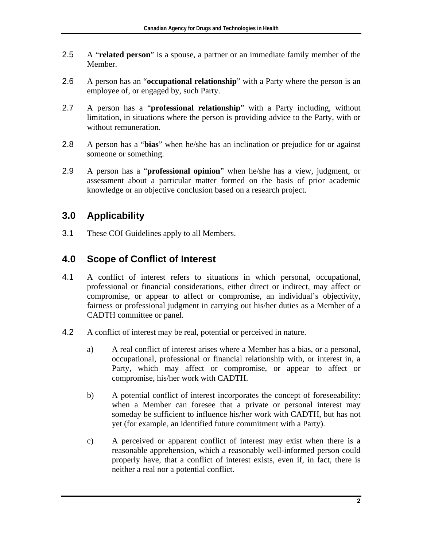- 2.5 A "**related person**" is a spouse, a partner or an immediate family member of the Member.
- 2.6 A person has an "**occupational relationship**" with a Party where the person is an employee of, or engaged by, such Party.
- 2.7 A person has a "**professional relationship**" with a Party including, without limitation, in situations where the person is providing advice to the Party, with or without remuneration.
- 2.8 A person has a "**bias**" when he/she has an inclination or prejudice for or against someone or something.
- 2.9 A person has a "**professional opinion**" when he/she has a view, judgment, or assessment about a particular matter formed on the basis of prior academic knowledge or an objective conclusion based on a research project.

# **3.0 Applicability**

3.1 These COI Guidelines apply to all Members.

# **4.0 Scope of Conflict of Interest**

- 4.1 A conflict of interest refers to situations in which personal, occupational, professional or financial considerations, either direct or indirect, may affect or compromise, or appear to affect or compromise, an individual's objectivity, fairness or professional judgment in carrying out his/her duties as a Member of a CADTH committee or panel.
- 4.2 A conflict of interest may be real, potential or perceived in nature.
	- a) A real conflict of interest arises where a Member has a bias, or a personal, occupational, professional or financial relationship with, or interest in, a Party, which may affect or compromise, or appear to affect or compromise, his/her work with CADTH.
	- b) A potential conflict of interest incorporates the concept of foreseeability: when a Member can foresee that a private or personal interest may someday be sufficient to influence his/her work with CADTH, but has not yet (for example, an identified future commitment with a Party).
	- c) A perceived or apparent conflict of interest may exist when there is a reasonable apprehension, which a reasonably well-informed person could properly have, that a conflict of interest exists, even if, in fact, there is neither a real nor a potential conflict.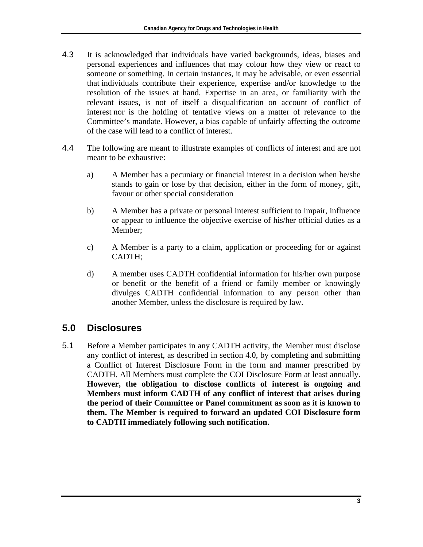- 4.3 It is acknowledged that individuals have varied backgrounds, ideas, biases and personal experiences and influences that may colour how they view or react to someone or something. In certain instances, it may be advisable, or even essential that individuals contribute their experience, expertise and/or knowledge to the resolution of the issues at hand. Expertise in an area, or familiarity with the relevant issues, is not of itself a disqualification on account of conflict of interest nor is the holding of tentative views on a matter of relevance to the Committee's mandate. However, a bias capable of unfairly affecting the outcome of the case will lead to a conflict of interest.
- 4.4 The following are meant to illustrate examples of conflicts of interest and are not meant to be exhaustive:
	- a) A Member has a pecuniary or financial interest in a decision when he/she stands to gain or lose by that decision, either in the form of money, gift, favour or other special consideration
	- b) A Member has a private or personal interest sufficient to impair, influence or appear to influence the objective exercise of his/her official duties as a Member;
	- c) A Member is a party to a claim, application or proceeding for or against CADTH;
	- d) A member uses CADTH confidential information for his/her own purpose or benefit or the benefit of a friend or family member or knowingly divulges CADTH confidential information to any person other than another Member, unless the disclosure is required by law.

# **5.0 Disclosures**

5.1 Before a Member participates in any CADTH activity, the Member must disclose any conflict of interest, as described in section 4.0, by completing and submitting a Conflict of Interest Disclosure Form in the form and manner prescribed by CADTH. All Members must complete the COI Disclosure Form at least annually. **However, the obligation to disclose conflicts of interest is ongoing and Members must inform CADTH of any conflict of interest that arises during the period of their Committee or Panel commitment as soon as it is known to them. The Member is required to forward an updated COI Disclosure form to CADTH immediately following such notification.**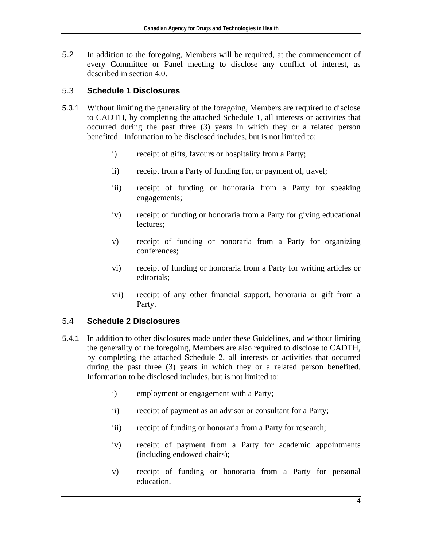5.2 In addition to the foregoing, Members will be required, at the commencement of every Committee or Panel meeting to disclose any conflict of interest, as described in section 4.0.

#### 5.3 **Schedule 1 Disclosures**

- 5.3.1 Without limiting the generality of the foregoing, Members are required to disclose to CADTH, by completing the attached Schedule 1, all interests or activities that occurred during the past three (3) years in which they or a related person benefited. Information to be disclosed includes, but is not limited to:
	- i) receipt of gifts, favours or hospitality from a Party;
	- ii) receipt from a Party of funding for, or payment of, travel;
	- iii) receipt of funding or honoraria from a Party for speaking engagements;
	- iv) receipt of funding or honoraria from a Party for giving educational lectures;
	- v) receipt of funding or honoraria from a Party for organizing conferences;
	- vi) receipt of funding or honoraria from a Party for writing articles or editorials;
	- vii) receipt of any other financial support, honoraria or gift from a Party.

#### 5.4 **Schedule 2 Disclosures**

- 5.4.1 In addition to other disclosures made under these Guidelines, and without limiting the generality of the foregoing, Members are also required to disclose to CADTH, by completing the attached Schedule 2, all interests or activities that occurred during the past three (3) years in which they or a related person benefited. Information to be disclosed includes, but is not limited to:
	- i) employment or engagement with a Party;
	- ii) receipt of payment as an advisor or consultant for a Party;
	- iii) receipt of funding or honoraria from a Party for research;
	- iv) receipt of payment from a Party for academic appointments (including endowed chairs);
	- v) receipt of funding or honoraria from a Party for personal education.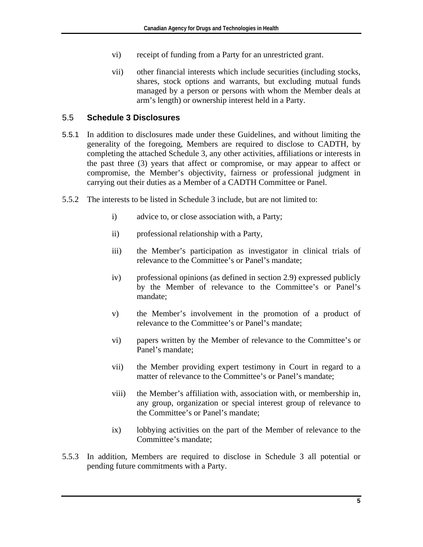- vi) receipt of funding from a Party for an unrestricted grant.
- vii) other financial interests which include securities (including stocks, shares, stock options and warrants, but excluding mutual funds managed by a person or persons with whom the Member deals at arm's length) or ownership interest held in a Party.

#### 5.5 **Schedule 3 Disclosures**

- 5.5.1 In addition to disclosures made under these Guidelines, and without limiting the generality of the foregoing, Members are required to disclose to CADTH, by completing the attached Schedule 3, any other activities, affiliations or interests in the past three (3) years that affect or compromise, or may appear to affect or compromise, the Member's objectivity, fairness or professional judgment in carrying out their duties as a Member of a CADTH Committee or Panel.
- 5.5.2 The interests to be listed in Schedule 3 include, but are not limited to:
	- i) advice to, or close association with, a Party;
	- ii) professional relationship with a Party,
	- iii) the Member's participation as investigator in clinical trials of relevance to the Committee's or Panel's mandate;
	- iv) professional opinions (as defined in section 2.9) expressed publicly by the Member of relevance to the Committee's or Panel's mandate;
	- v) the Member's involvement in the promotion of a product of relevance to the Committee's or Panel's mandate;
	- vi) papers written by the Member of relevance to the Committee's or Panel's mandate;
	- vii) the Member providing expert testimony in Court in regard to a matter of relevance to the Committee's or Panel's mandate;
	- viii) the Member's affiliation with, association with, or membership in, any group, organization or special interest group of relevance to the Committee's or Panel's mandate;
	- ix) lobbying activities on the part of the Member of relevance to the Committee's mandate;
- 5.5.3 In addition, Members are required to disclose in Schedule 3 all potential or pending future commitments with a Party.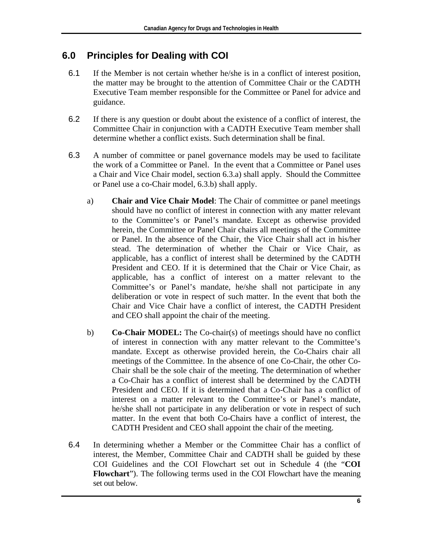# **6.0 Principles for Dealing with COI**

- 6.1 If the Member is not certain whether he/she is in a conflict of interest position, the matter may be brought to the attention of Committee Chair or the CADTH Executive Team member responsible for the Committee or Panel for advice and guidance.
- 6.2 If there is any question or doubt about the existence of a conflict of interest, the Committee Chair in conjunction with a CADTH Executive Team member shall determine whether a conflict exists. Such determination shall be final.
- 6.3 A number of committee or panel governance models may be used to facilitate the work of a Committee or Panel. In the event that a Committee or Panel uses a Chair and Vice Chair model, section 6.3.a) shall apply. Should the Committee or Panel use a co-Chair model, 6.3.b) shall apply.
	- a) **Chair and Vice Chair Model**: The Chair of committee or panel meetings should have no conflict of interest in connection with any matter relevant to the Committee's or Panel's mandate. Except as otherwise provided herein, the Committee or Panel Chair chairs all meetings of the Committee or Panel. In the absence of the Chair, the Vice Chair shall act in his/her stead. The determination of whether the Chair or Vice Chair, as applicable, has a conflict of interest shall be determined by the CADTH President and CEO. If it is determined that the Chair or Vice Chair, as applicable, has a conflict of interest on a matter relevant to the Committee's or Panel's mandate, he/she shall not participate in any deliberation or vote in respect of such matter. In the event that both the Chair and Vice Chair have a conflict of interest, the CADTH President and CEO shall appoint the chair of the meeting.
	- b) **Co-Chair MODEL:** The Co-chair(s) of meetings should have no conflict of interest in connection with any matter relevant to the Committee's mandate. Except as otherwise provided herein, the Co-Chairs chair all meetings of the Committee. In the absence of one Co-Chair, the other Co-Chair shall be the sole chair of the meeting. The determination of whether a Co-Chair has a conflict of interest shall be determined by the CADTH President and CEO. If it is determined that a Co-Chair has a conflict of interest on a matter relevant to the Committee's or Panel's mandate, he/she shall not participate in any deliberation or vote in respect of such matter. In the event that both Co-Chairs have a conflict of interest, the CADTH President and CEO shall appoint the chair of the meeting.
- 6.4 In determining whether a Member or the Committee Chair has a conflict of interest, the Member, Committee Chair and CADTH shall be guided by these COI Guidelines and the COI Flowchart set out in Schedule 4 (the "**COI Flowchart**"). The following terms used in the COI Flowchart have the meaning set out below.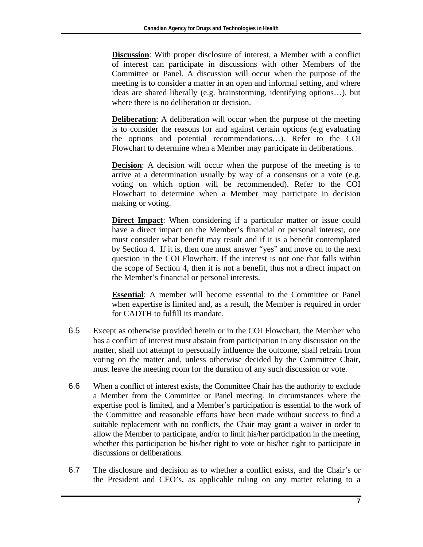**Discussion**: With proper disclosure of interest, a Member with a conflict of interest can participate in discussions with other Members of the Committee or Panel. A discussion will occur when the purpose of the meeting is to consider a matter in an open and informal setting, and where ideas are shared liberally (e.g. brainstorming, identifying options…), but where there is no deliberation or decision.

**Deliberation**: A deliberation will occur when the purpose of the meeting is to consider the reasons for and against certain options (e.g evaluating the options and potential recommendations…). Refer to the COI Flowchart to determine when a Member may participate in deliberations.

**Decision**: A decision will occur when the purpose of the meeting is to arrive at a determination usually by way of a consensus or a vote (e.g. voting on which option will be recommended). Refer to the COI Flowchart to determine when a Member may participate in decision making or voting.

**Direct Impact**: When considering if a particular matter or issue could have a direct impact on the Member's financial or personal interest, one must consider what benefit may result and if it is a benefit contemplated by Section 4. If it is, then one must answer "yes" and move on to the next question in the COI Flowchart. If the interest is not one that falls within the scope of Section 4, then it is not a benefit, thus not a direct impact on the Member's financial or personal interests.

**Essential**: A member will become essential to the Committee or Panel when expertise is limited and, as a result, the Member is required in order for CADTH to fulfill its mandate.

- 6.5 Except as otherwise provided herein or in the COI Flowchart, the Member who has a conflict of interest must abstain from participation in any discussion on the matter, shall not attempt to personally influence the outcome, shall refrain from voting on the matter and, unless otherwise decided by the Committee Chair, must leave the meeting room for the duration of any such discussion or vote.
- 6.6 When a conflict of interest exists, the Committee Chair has the authority to exclude a Member from the Committee or Panel meeting. In circumstances where the expertise pool is limited, and a Member's participation is essential to the work of the Committee and reasonable efforts have been made without success to find a suitable replacement with no conflicts, the Chair may grant a waiver in order to allow the Member to participate, and/or to limit his/her participation in the meeting, whether this participation be his/her right to vote or his/her right to participate in discussions or deliberations.
- 6.7 The disclosure and decision as to whether a conflict exists, and the Chair's or the President and CEO's, as applicable ruling on any matter relating to a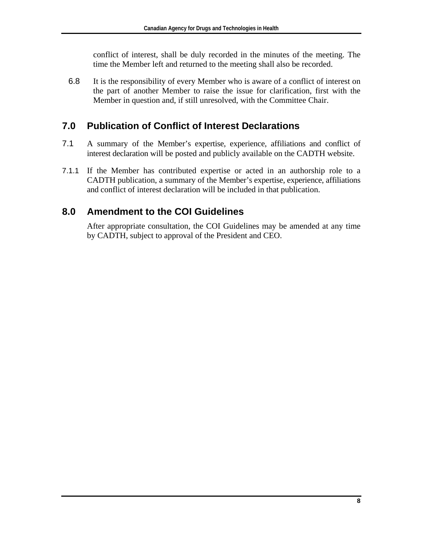conflict of interest, shall be duly recorded in the minutes of the meeting. The time the Member left and returned to the meeting shall also be recorded.

6.8 It is the responsibility of every Member who is aware of a conflict of interest on the part of another Member to raise the issue for clarification, first with the Member in question and, if still unresolved, with the Committee Chair.

#### **7.0 Publication of Conflict of Interest Declarations**

- 7.1 A summary of the Member's expertise, experience, affiliations and conflict of interest declaration will be posted and publicly available on the CADTH website.
- 7.1.1 If the Member has contributed expertise or acted in an authorship role to a CADTH publication, a summary of the Member's expertise, experience, affiliations and conflict of interest declaration will be included in that publication.

#### **8.0 Amendment to the COI Guidelines**

After appropriate consultation, the COI Guidelines may be amended at any time by CADTH, subject to approval of the President and CEO.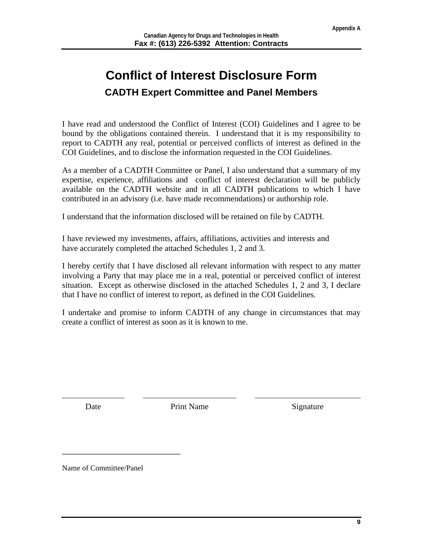# **Conflict of Interest Disclosure Form CADTH Expert Committee and Panel Members**

I have read and understood the Conflict of Interest (COI) Guidelines and I agree to be bound by the obligations contained therein. I understand that it is my responsibility to report to CADTH any real, potential or perceived conflicts of interest as defined in the COI Guidelines, and to disclose the information requested in the COI Guidelines.

As a member of a CADTH Committee or Panel, I also understand that a summary of my expertise, experience, affiliations and conflict of interest declaration will be publicly available on the CADTH website and in all CADTH publications to which I have contributed in an advisory (i.e. have made recommendations) or authorship role.

I understand that the information disclosed will be retained on file by CADTH.

I have reviewed my investments, affairs, affiliations, activities and interests and have accurately completed the attached Schedules 1, 2 and 3.

I hereby certify that I have disclosed all relevant information with respect to any matter involving a Party that may place me in a real, potential or perceived conflict of interest situation. Except as otherwise disclosed in the attached Schedules 1, 2 and 3, I declare that I have no conflict of interest to report, as defined in the COI Guidelines.

I undertake and promise to inform CADTH of any change in circumstances that may create a conflict of interest as soon as it is known to me.

 $\overline{a}$ 

Date Print Name Signature

Name of Committee/Panel

\_\_\_\_\_\_\_\_\_\_\_\_\_\_\_\_\_\_\_\_\_\_\_\_\_\_\_\_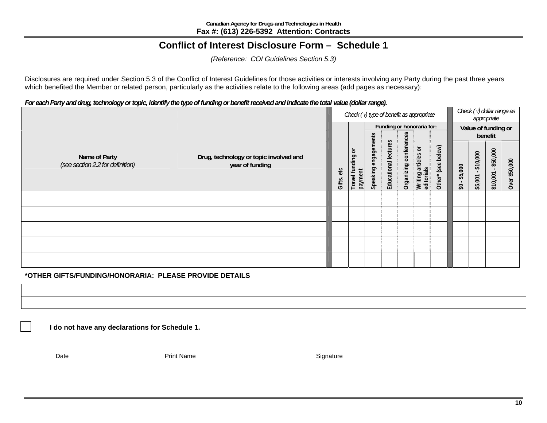#### **Conflict of Interest Disclosure Form – Schedule 1**

*(Reference: COI Guidelines Section 5.3)*

Disclosures are required under Section 5.3 of the Conflict of Interest Guidelines for those activities or interests involving any Party during the past three years which benefited the Member or related person, particularly as the activities relate to the following areas (add pages as necessary):

*For each Party and drug, technology or topic, identify the type of funding or benefit received and indicate the total value (dollar range).* 

|                                                   |                                                           | Check $(\sqrt{t})$ type of benefit as appropriate |                              |                         |                      |                        |                                   | Check $(\sqrt{y})$ dollar range as<br>appropriate |                                        |                                     |                      |                                |  |
|---------------------------------------------------|-----------------------------------------------------------|---------------------------------------------------|------------------------------|-------------------------|----------------------|------------------------|-----------------------------------|---------------------------------------------------|----------------------------------------|-------------------------------------|----------------------|--------------------------------|--|
|                                                   |                                                           |                                                   |                              |                         |                      |                        |                                   | Funding or honoraria for:                         |                                        |                                     |                      | Value of funding or<br>benefit |  |
| Name of Party<br>(see section 2.2 for definition) | Drug, technology or topic involved and<br>year of funding | $rac{1}{\pi}$<br>Gifts.                           | Travel funding or<br>payment | engagements<br>Speaking | Educational lectures | Organizing conferences | Writing articles or<br>editorials | (see below)<br>Other*                             | \$5,000<br>$\boldsymbol{\mathfrak{S}}$ | \$10,000<br>$\mathbf{r}$<br>\$5,001 | \$50,000<br>\$10,001 | \$50,000<br>Over               |  |
|                                                   |                                                           |                                                   |                              |                         |                      |                        |                                   |                                                   |                                        |                                     |                      |                                |  |
|                                                   |                                                           |                                                   |                              |                         |                      |                        |                                   |                                                   |                                        |                                     |                      |                                |  |
|                                                   |                                                           |                                                   |                              |                         |                      |                        |                                   |                                                   |                                        |                                     |                      |                                |  |
|                                                   |                                                           |                                                   |                              |                         |                      |                        |                                   |                                                   |                                        |                                     |                      |                                |  |
|                                                   |                                                           |                                                   |                              |                         |                      |                        |                                   |                                                   |                                        |                                     |                      |                                |  |

**\*OTHER GIFTS/FUNDING/HONORARIA: PLEASE PROVIDE DETAILS** 

**I do not have any declarations for Schedule 1.**

Date Print Name Signature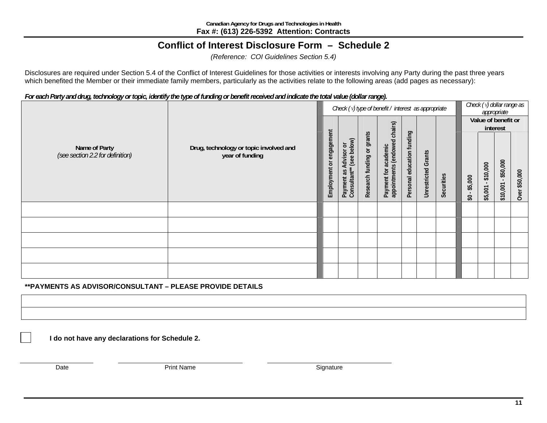#### **Conflict of Interest Disclosure Form – Schedule 2**

*(Reference: COI Guidelines Section 5.4)*

Disclosures are required under Section 5.4 of the Conflict of Interest Guidelines for those activities or interests involving any Party during the past three years which benefited the Member or their immediate family members, particularly as the activities relate to the following areas (add pages as necessary):

*For each Party and drug, technology or topic, identify the type of funding or benefit received and indicate the total value (dollar range).* 

| Check $(\sqrt{v})$ type of benefit / interest as appropriate |                                                           |                          |                                                        |                            |                                                             |                            |                            |            | Check $(\sqrt{y})$ dollar range as<br>appropriate |                        |                                        |               |
|--------------------------------------------------------------|-----------------------------------------------------------|--------------------------|--------------------------------------------------------|----------------------------|-------------------------------------------------------------|----------------------------|----------------------------|------------|---------------------------------------------------|------------------------|----------------------------------------|---------------|
|                                                              |                                                           |                          |                                                        |                            |                                                             |                            |                            |            |                                                   |                        | Value of benefit or<br>interest        |               |
| Name of Party<br>(see section 2.2 for definition)            | Drug, technology or topic involved and<br>year of funding | Employment or engagement | (see below)<br>Advisor or<br>Payment as<br>Consultant* | Research funding or grants | (endowed chairs)<br>academic<br>appointments<br>Payment for | Personal education funding | <b>Unrestricted Grants</b> | Securities | \$5,000<br>\$O                                    | \$10,000<br>$$5,001 -$ | \$50,000<br>$\blacksquare$<br>\$10,001 | Over \$50,000 |
|                                                              |                                                           |                          |                                                        |                            |                                                             |                            |                            |            |                                                   |                        |                                        |               |
|                                                              |                                                           |                          |                                                        |                            |                                                             |                            |                            |            |                                                   |                        |                                        |               |
|                                                              |                                                           |                          |                                                        |                            |                                                             |                            |                            |            |                                                   |                        |                                        |               |
|                                                              |                                                           |                          |                                                        |                            |                                                             |                            |                            |            |                                                   |                        |                                        |               |
|                                                              |                                                           |                          |                                                        |                            |                                                             |                            |                            |            |                                                   |                        |                                        |               |

#### **\*\*PAYMENTS AS ADVISOR/CONSULTANT – PLEASE PROVIDE DETAILS**

**I do not have any declarations for Schedule 2.**

Date Print Name Signature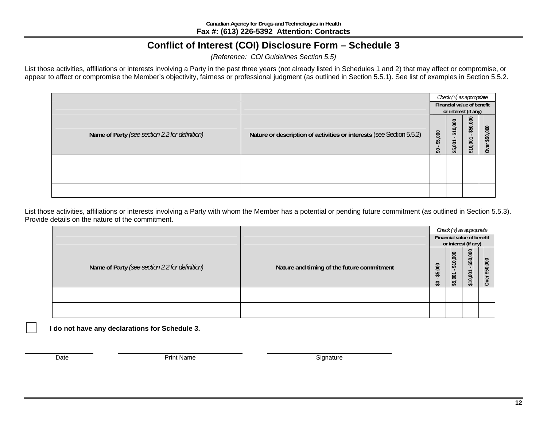# **Conflict of Interest (COI) Disclosure Form – Schedule 3**

*(Reference: COI Guidelines Section 5.5)*

List those activities, affiliations or interests involving a Party in the past three years (not already listed in Schedules 1 and 2) that may affect or compromise, or appear to affect or compromise the Member's objectivity, fairness or professional judgment (as outlined in Section 5.5.1). See list of examples in Section 5.5.2.

|                                                |                                                                      |               | Check $(\sqrt{y})$ as appropriate |                                                    |                                 |  |  |
|------------------------------------------------|----------------------------------------------------------------------|---------------|-----------------------------------|----------------------------------------------------|---------------------------------|--|--|
|                                                |                                                                      |               |                                   | Financial value of benefit<br>or interest (if any) |                                 |  |  |
| Name of Party (see section 2.2 for definition) | Nature or description of activities or interests (see Section 5.5.2) | \$5,000<br>S) | \$10,000<br>\$5,001               | \$50,000<br>\$10,001                               | \$50,000<br>$\omega$<br>$\circ$ |  |  |
|                                                |                                                                      |               |                                   |                                                    |                                 |  |  |
|                                                |                                                                      |               |                                   |                                                    |                                 |  |  |
|                                                |                                                                      |               |                                   |                                                    |                                 |  |  |

List those activities, affiliations or interests involving a Party with whom the Member has a potential or pending future commitment (as outlined in Section 5.5.3). Provide details on the nature of the commitment.

|                                                |                                            |                  | Check $(\sqrt{y})$ as appropriate<br>Financial value of benefit<br>or interest (if any) |                                         |                                         |  |
|------------------------------------------------|--------------------------------------------|------------------|-----------------------------------------------------------------------------------------|-----------------------------------------|-----------------------------------------|--|
| Name of Party (see section 2.2 for definition) | Nature and timing of the future commitment | 500<br>\$3<br>S. | \$10,000<br>5 <sub>o</sub><br>55                                                        | \$50,000<br>10,001<br>$\leftrightarrow$ | 000<br>\$50<br>$\overline{\omega}$<br>o |  |
|                                                |                                            |                  |                                                                                         |                                         |                                         |  |
|                                                |                                            |                  |                                                                                         |                                         |                                         |  |

**I do not have any declarations for Schedule 3.**

Date **Contract Contract Print Name** Signature Signature Signature Signature Signature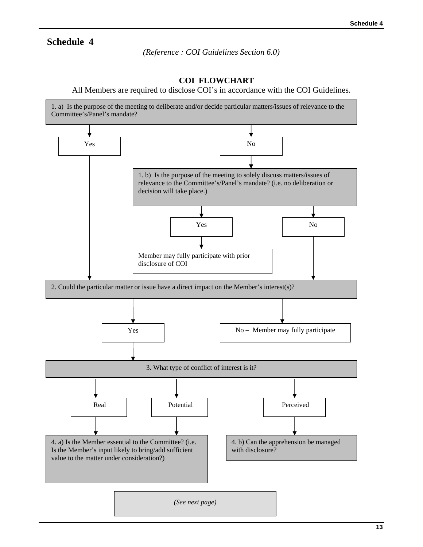#### **Schedule 4**

*(Reference : COI Guidelines Section 6.0)*

#### **COI FLOWCHART**

All Members are required to disclose COI's in accordance with the COI Guidelines.